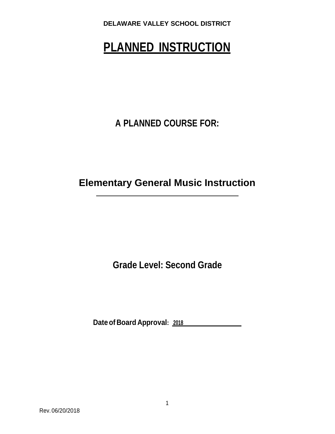# **PLANNED INSTRUCTION**

**A PLANNED COURSE FOR:**

**Elementary General Music Instruction**

**Grade Level: Second Grade**

**Dateof Board Approval: <sup>2018</sup>**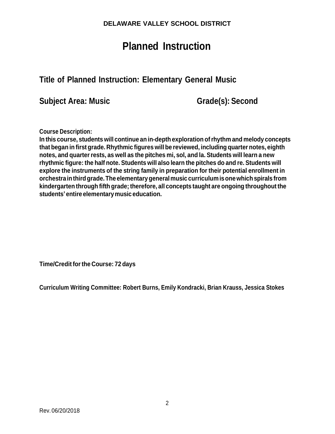## **Planned Instruction**

## **Title of Planned Instruction: Elementary General Music**

**Subject Area: Music Grade(s): Second**

**Course Description:**

**In this course, students will continue an in-depth exploration ofrhythm and melody concepts that began in first grade. Rhythmic figures will be reviewed, including quarter notes, eighth notes, and quarterrests, as well as the pitches mi, sol, and la. Students will learn a new rhythmic figure: the half note. Students will also learn the pitches do and re. Students will explore the instruments of the string family in preparation for their potential enrollment in orchestrainthirdgrade.The elementarygeneralmusic curriculum isonewhichspirals from kindergarten through fifth grade; therefore, all concepts taught are ongoing throughout the students' entire elementarymusic education.**

**Time/Credit forthe Course: 72 days**

**Curriculum Writing Committee: Robert Burns, Emily Kondracki, Brian Krauss, Jessica Stokes**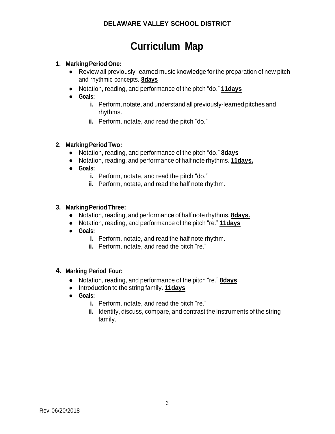# **Curriculum Map**

#### **1. MarkingPeriodOne:**

- **●** Review all previously-learned music knowledge for the preparation of new pitch and rhythmic concepts. **8days**
- **●** Notation, reading, and performance of the pitch "do." **11days**
- **● Goals:**
	- **i.** Perform, notate, and understand all previously-learned pitches and rhythms.
	- **ii.** Perform, notate, and read the pitch "do."

#### **2. MarkingPeriod Two:**

- **●** Notation, reading, and performance of the pitch "do." **8days**
- **●** Notation, reading, and performance of half note rhythms. **11days.**
- **● Goals:**
	- **i.** Perform, notate, and read the pitch "do."
	- **ii.** Perform, notate, and read the half note rhythm.

#### **3. MarkingPeriodThree:**

- **●** Notation, reading, and performance of half note rhythms. **8days.**
- **●** Notation, reading, and performance of the pitch "re." **11days**
- **● Goals:**
	- **i.** Perform, notate, and read the half note rhythm.
	- **ii.** Perform, notate, and read the pitch "re."

#### **4. Marking Period Four:**

- **●** Notation, reading, and performance of the pitch "re." **8days**
- **●** Introduction to the string family. **11days**
- **● Goals:**
	- **i.** Perform, notate, and read the pitch "re."
	- **ii.** Identify, discuss, compare, and contrast the instruments of the string family.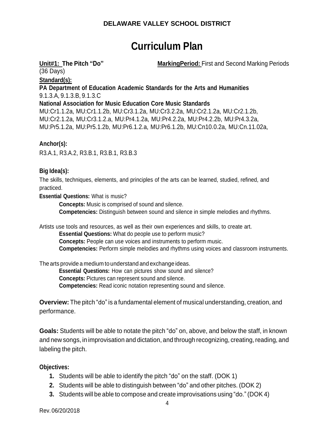# **Curriculum Plan**

**Unit#1: The Pitch "Do" MarkingPeriod:** First and Second Marking Periods

(36 Days)

#### **Standard(s):**

**PA Department of Education Academic Standards for the Arts and Humanities** 9.1.3.A, 9.1.3.B, 9.1.3.C

#### **National Association for Music Education Core Music Standards**

MU:Cr1.1.2a, MU:Cr1.1.2b, MU:Cr3.1.2a, MU:Cr3.2.2a, MU:Cr2.1.2a, MU:Cr2.1.2b, MU:Cr2.1.2a, MU:Cr3.1.2.a, MU:Pr4.1.2a, MU:Pr4.2.2a, MU:Pr4.2.2b, MU:Pr4.3.2a, MU:Pr5.1.2a, MU:Pr5.1.2b, MU:Pr6.1.2.a, MU:Pr6.1.2b, MU:Cn10.0.2a, MU:Cn.11.02a,

#### **Anchor(s):**

R3.A.1, R3.A.2, R3.B.1, R3.B.1, R3.B.3

#### **Big Idea(s):**

The skills, techniques, elements, and principles of the arts can be learned, studied, refined, and practiced.

**Essential Questions:** What is music?

**Concepts:** Music is comprised of sound and silence. **Competencies:** Distinguish between sound and silence in simple melodies and rhythms.

Artists use tools and resources, as well as their own experiences and skills, to create art.

**Essential Questions:** What do people use to perform music? **Concepts:** People can use voices and instruments to perform music.

**Competencies:** Perform simple melodies and rhythms using voices and classroom instruments.

The arts provide a medium to understand and exchange ideas.

**Essential Questions:** How can pictures show sound and silence?

**Concepts:** Pictures can represent sound and silence.

**Competencies:** Read iconic notation representing sound and silence.

**Overview:** The pitch "do" is a fundamental element of musical understanding, creation, and performance.

**Goals:** Students will be able to notate the pitch "do" on, above, and below the staff, in known and new songs, in improvisation and dictation, and through recognizing, creating, reading, and labeling the pitch.

#### **Objectives:**

- **1.** Students will be able to identify the pitch "do" on the staff. (DOK 1)
- **2.** Students will be able to distinguish between "do" and other pitches. (DOK 2)
- **3.** Students will be able to compose and create improvisations using "do." (DOK 4)

Rev.06/20/2018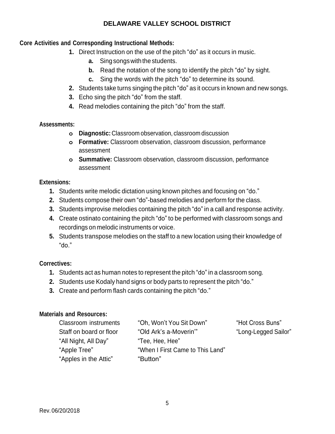#### **Core Activities and Corresponding Instructional Methods:**

- **1.** Direct Instruction on the use of the pitch "do" as it occurs in music.
	- **a.** Sing songs with the students.
	- **b.** Read the notation of the song to identify the pitch "do" by sight.
	- **c.** Sing the words with the pitch "do" to determine its sound.
- **2.** Students take turns singing the pitch "do" as it occurs in known and new songs.
- **3.** Echo sing the pitch "do" from the staff.
- **4.** Read melodies containing the pitch "do" from the staff.

#### **Assessments:**

- **o Diagnostic:** Classroom observation, classroom discussion
- **o Formative:** Classroom observation, classroom discussion, performance assessment
- **o Summative:** Classroom observation, classroom discussion, performance assessment

#### **Extensions:**

- **1.** Students write melodic dictation using known pitches and focusing on "do."
- **2.** Students compose their own "do"-based melodies and perform for the class.
- **3.** Students improvise melodies containing the pitch "do" in a call and response activity.
- **4.** Create ostinato containing the pitch "do" to be performed with classroom songs and recordings on melodic instruments or voice.
- **5.** Students transpose melodies on the staff to a new location using their knowledge of "do."

#### **Correctives:**

- **1.** Students act as human notes to represent the pitch "do" in a classroom song.
- **2.** Students use Kodaly hand signs or body parts to represent the pitch "do."
- **3.** Create and perform flash cards containing the pitch "do."

#### **Materials and Resources:**

"All Night, All Day" "Tee, Hee, Hee" "Apples in the Attic" "Button"

Classroom instruments "Oh, Won't You Sit Down" "Hot Cross Buns" Staff on board or floor "Old Ark's a-Moverin'" "Long-Legged Sailor" "Apple Tree" "When I First Came to This Land"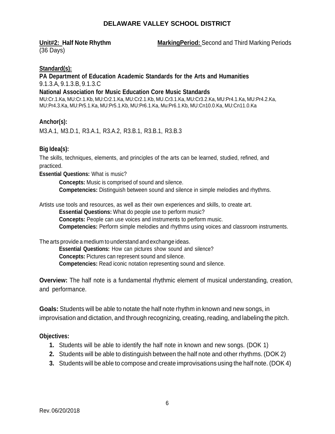**Unit#2: Half Note Rhythm MarkingPeriod:** Second and Third Marking Periods

(36 Days)

#### **Standard(s):**

#### **PA Department of Education Academic Standards for the Arts and Humanities** 9.1.3.A, 9.1.3.B, 9.1.3.C

#### **National Association for Music Education Core Music Standards**

MU:Cr.1.Ka, MU:Cr.1.Kb, MU:Cr2.1.Ka, MU:Cr2.1.Kb, MU.Cr3.1.Ka, MU:Cr3.2.Ka, MU:Pr4.1.Ka, MU:Pr4.2.Ka, MU:Pr4.3.Ka, MU:Pr5.1.Ka, MU:Pr5.1.Kb, MU:Pr6.1.Ka, Mu:Pr6.1.Kb, MU:Cn10.0.Ka, MU:Cn11.0.Ka

#### **Anchor(s):**

M3.A.1, M3.D.1, R3.A.1, R3.A.2, R3.B.1, R3.B.1, R3.B.3

#### **Big Idea(s):**

The skills, techniques, elements, and principles of the arts can be learned, studied, refined, and practiced.

**Essential Questions:** What is music?

**Concepts:** Music is comprised of sound and silence. **Competencies:** Distinguish between sound and silence in simple melodies and rhythms.

Artists use tools and resources, as well as their own experiences and skills, to create art.

**Essential Questions:** What do people use to perform music? **Concepts:** People can use voices and instruments to perform music. **Competencies:** Perform simple melodies and rhythms using voices and classroom instruments.

The arts provide a medium to understand and exchange ideas. **Essential Questions:** How can pictures show sound and silence? **Concepts:** Pictures can represent sound and silence. **Competencies:** Read iconic notation representing sound and silence.

**Overview:** The half note is a fundamental rhythmic element of musical understanding, creation, and performance.

**Goals:** Students will be able to notate the half note rhythm in known and new songs, in improvisation and dictation, and through recognizing, creating, reading, and labeling the pitch.

#### **Objectives:**

- **1.** Students will be able to identify the half note in known and new songs. (DOK 1)
- **2.** Students will be able to distinguish between the half note and other rhythms. (DOK 2)
- **3.** Students will be able to compose and create improvisations using the half note. (DOK 4)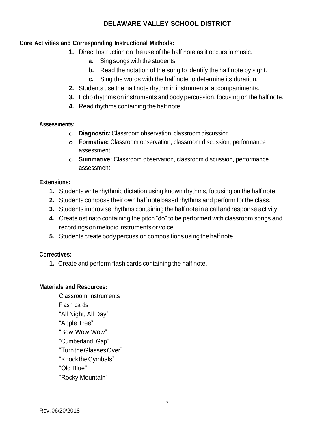#### **Core Activities and Corresponding Instructional Methods:**

- **1.** Direct Instruction on the use of the half note as it occurs in music.
	- **a.** Sing songs with the students.
	- **b.** Read the notation of the song to identify the half note by sight.
	- **c.** Sing the words with the half note to determine its duration.
- **2.** Students use the half note rhythm in instrumental accompaniments.
- **3.** Echo rhythms on instruments and body percussion, focusing on the half note.
- **4.** Read rhythms containing the half note.

#### **Assessments:**

- **o Diagnostic:** Classroom observation, classroom discussion
- **o Formative:** Classroom observation, classroom discussion, performance assessment
- **o Summative:** Classroom observation, classroom discussion, performance assessment

#### **Extensions:**

- **1.** Students write rhythmic dictation using known rhythms, focusing on the half note.
- **2.** Students compose their own half note based rhythms and perform for the class.
- **3.** Students improvise rhythms containing the half note in a call and response activity.
- **4.** Create ostinato containing the pitch "do" to be performed with classroom songs and recordings on melodic instruments or voice.
- **5.** Students create body percussion compositions using the half note.

#### **Correctives:**

**1.** Create and perform flash cards containing the half note.

#### **Materials and Resources:**

Classroom instruments Flash cards "All Night, All Day" "Apple Tree" "Bow Wow Wow" "Cumberland Gap" "TurntheGlassesOver" "KnocktheCymbals" "Old Blue" "Rocky Mountain"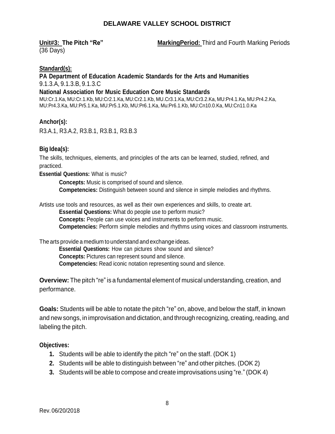(36 Days)

**Unit#3: The Pitch "Re" MarkingPeriod:** Third and Fourth Marking Periods

#### **Standard(s):**

**PA Department of Education Academic Standards for the Arts and Humanities** 9.1.3.A, 9.1.3.B, 9.1.3.C

#### **National Association for Music Education Core Music Standards**

MU:Cr.1.Ka, MU:Cr.1.Kb, MU:Cr2.1.Ka, MU:Cr2.1.Kb, MU.Cr3.1.Ka, MU:Cr3.2.Ka, MU:Pr4.1.Ka, MU:Pr4.2.Ka, MU:Pr4.3.Ka, MU:Pr5.1.Ka, MU:Pr5.1.Kb, MU:Pr6.1.Ka, Mu:Pr6.1.Kb, MU:Cn10.0.Ka, MU:Cn11.0.Ka

#### **Anchor(s):**

R3.A.1, R3.A.2, R3.B.1, R3.B.1, R3.B.3

#### **Big Idea(s):**

The skills, techniques, elements, and principles of the arts can be learned, studied, refined, and practiced.

**Essential Questions:** What is music?

**Concepts:** Music is comprised of sound and silence. **Competencies:** Distinguish between sound and silence in simple melodies and rhythms.

Artists use tools and resources, as well as their own experiences and skills, to create art.

**Essential Questions:** What do people use to perform music? **Concepts:** People can use voices and instruments to perform music.

**Competencies:** Perform simple melodies and rhythms using voices and classroom instruments.

The arts provide a medium to understand and exchange ideas.

**Essential Questions:** How can pictures show sound and silence? **Concepts:** Pictures can represent sound and silence. **Competencies:** Read iconic notation representing sound and silence.

**Overview:** The pitch "re" is a fundamental element of musical understanding, creation, and performance.

**Goals:** Students will be able to notate the pitch "re" on, above, and below the staff, in known and new songs, in improvisation and dictation, and through recognizing, creating, reading, and labeling the pitch.

#### **Objectives:**

- **1.** Students will be able to identify the pitch "re" on the staff. (DOK 1)
- **2.** Students will be able to distinguish between "re" and other pitches. (DOK 2)
- **3.** Students will be able to compose and create improvisations using "re." (DOK 4)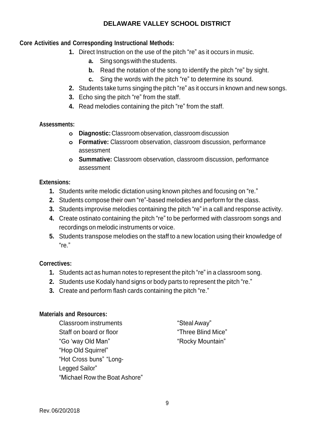#### **Core Activities and Corresponding Instructional Methods:**

- **1.** Direct Instruction on the use of the pitch "re" as it occurs in music.
	- **a.** Sing songs with the students.
	- **b.** Read the notation of the song to identify the pitch "re" by sight.
	- **c.** Sing the words with the pitch "re" to determine its sound.
- **2.** Students take turns singing the pitch "re" as it occurs in known and new songs.
- **3.** Echo sing the pitch "re" from the staff.
- **4.** Read melodies containing the pitch "re" from the staff.

#### **Assessments:**

- **o Diagnostic:** Classroom observation, classroom discussion
- **o Formative:** Classroom observation, classroom discussion, performance assessment
- **o Summative:** Classroom observation, classroom discussion, performance assessment

#### **Extensions:**

- **1.** Students write melodic dictation using known pitches and focusing on "re."
- **2.** Students compose their own "re"-based melodies and perform for the class.
- **3.** Students improvise melodies containing the pitch "re" in a call and response activity.
- **4.** Create ostinato containing the pitch "re" to be performed with classroom songs and recordings on melodic instruments or voice.
- **5.** Students transpose melodies on the staff to a new location using their knowledge of "re."

#### **Correctives:**

- **1.** Students act as human notes to represent the pitch "re" in a classroom song.
- **2.** Students use Kodaly hand signs or body parts to represent the pitch "re."
- **3.** Create and perform flash cards containing the pitch "re."

#### **Materials and Resources:**

Classroom instruments "StealAway" Staff on board or floor Three Blind Mice" "Go 'way Old Man" "Rocky Mountain" "Hop Old Squirrel" "Hot Cross buns" "Long-Legged Sailor" "Michael Row the Boat Ashore"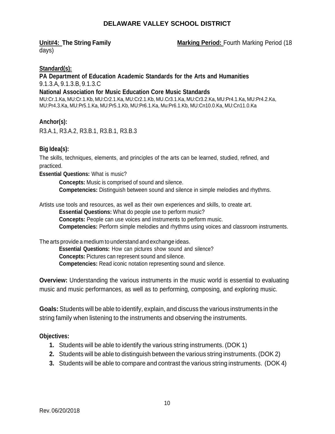**Unit#4: The String Family <b>Marking Period:** Fourth Marking Period (18

days)

#### **Standard(s):**

#### **PA Department of Education Academic Standards for the Arts and Humanities** 9.1.3.A, 9.1.3.B, 9.1.3.C

#### **National Association for Music Education Core Music Standards**

MU:Cr.1.Ka, MU:Cr.1.Kb, MU:Cr2.1.Ka, MU:Cr2.1.Kb, MU.Cr3.1.Ka, MU:Cr3.2.Ka, MU:Pr4.1.Ka, MU:Pr4.2.Ka, MU:Pr4.3.Ka, MU:Pr5.1.Ka, MU:Pr5.1.Kb, MU:Pr6.1.Ka, Mu:Pr6.1.Kb, MU:Cn10.0.Ka, MU:Cn11.0.Ka

#### **Anchor(s):**

R3.A.1, R3.A.2, R3.B.1, R3.B.1, R3.B.3

#### **Big Idea(s):**

The skills, techniques, elements, and principles of the arts can be learned, studied, refined, and practiced.

**Essential Questions:** What is music?

**Concepts:** Music is comprised of sound and silence. **Competencies:** Distinguish between sound and silence in simple melodies and rhythms.

Artists use tools and resources, as well as their own experiences and skills, to create art.

**Essential Questions:** What do people use to perform music?

**Concepts:** People can use voices and instruments to perform music.

**Competencies:** Perform simple melodies and rhythms using voices and classroom instruments.

The arts provide a medium to understand and exchange ideas.

**Essential Questions:** How can pictures show sound and silence? **Concepts:** Pictures can represent sound and silence. **Competencies:** Read iconic notation representing sound and silence.

**Overview:** Understanding the various instruments in the music world is essential to evaluating music and music performances, as well as to performing, composing, and exploring music.

**Goals:** Students will be able to identify, explain, and discuss the various instruments in the string family when listening to the instruments and observing the instruments.

#### **Objectives:**

- **1.** Students will be able to identify the various string instruments. (DOK 1)
- **2.** Students will be able to distinguish between the various string instruments. (DOK 2)
- **3.** Students will be able to compare and contrast the various string instruments. (DOK 4)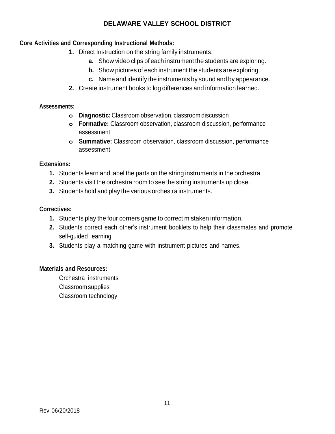#### **Core Activities and Corresponding Instructional Methods:**

- **1.** Direct Instruction on the string family instruments.
	- **a.** Show video clips of each instrument the students are exploring.
	- **b.** Show pictures of each instrument the students are exploring.
	- **c.** Name and identify the instruments by sound and by appearance.
- **2.** Create instrument books to log differences and information learned.

#### **Assessments:**

- **o Diagnostic:** Classroom observation, classroom discussion
- **o Formative:** Classroom observation, classroom discussion, performance assessment
- **o Summative:** Classroom observation, classroom discussion, performance assessment

#### **Extensions:**

- **1.** Students learn and label the parts on the string instruments in the orchestra.
- **2.** Students visit the orchestra room to see the string instruments up close.
- **3.** Students hold and play the various orchestra instruments.

#### **Correctives:**

- **1.** Students play the four corners game to correct mistaken information.
- **2.** Students correct each other's instrument booklets to help their classmates and promote self-guided learning.
- **3.** Students play a matching game with instrument pictures and names.

#### **Materials and Resources:**

Orchestra instruments Classroom supplies Classroom technology